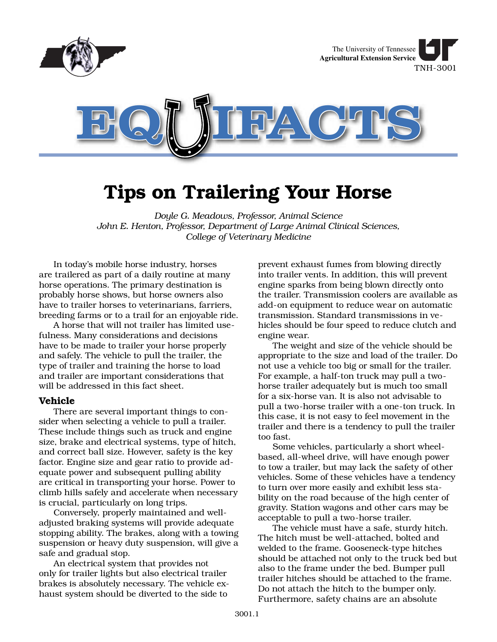

# **Tips on Trailering Your Horse**

*Doyle G. Meadows, Professor, Animal Science John E. Henton, Professor, Department of Large Animal Clinical Sciences, College of Veterinary Medicine*

In today's mobile horse industry, horses are trailered as part of a daily routine at many horse operations. The primary destination is probably horse shows, but horse owners also have to trailer horses to veterinarians, farriers, breeding farms or to a trail for an enjoyable ride.

A horse that will not trailer has limited usefulness. Many considerations and decisions have to be made to trailer your horse properly and safely. The vehicle to pull the trailer, the type of trailer and training the horse to load and trailer are important considerations that will be addressed in this fact sheet.

### **Vehicle**

There are several important things to consider when selecting a vehicle to pull a trailer. These include things such as truck and engine size, brake and electrical systems, type of hitch, and correct ball size. However, safety is the key factor. Engine size and gear ratio to provide adequate power and subsequent pulling ability are critical in transporting your horse. Power to climb hills safely and accelerate when necessary is crucial, particularly on long trips.

Conversely, properly maintained and welladjusted braking systems will provide adequate stopping ability. The brakes, along with a towing suspension or heavy duty suspension, will give a safe and gradual stop.

An electrical system that provides not only for trailer lights but also electrical trailer brakes is absolutely necessary. The vehicle exhaust system should be diverted to the side to

prevent exhaust fumes from blowing directly into trailer vents. In addition, this will prevent engine sparks from being blown directly onto the trailer. Transmission coolers are available as add-on equipment to reduce wear on automatic transmission. Standard transmissions in vehicles should be four speed to reduce clutch and engine wear.

The weight and size of the vehicle should be appropriate to the size and load of the trailer. Do not use a vehicle too big or small for the trailer. For example, a half-ton truck may pull a twohorse trailer adequately but is much too small for a six-horse van. It is also not advisable to pull a two-horse trailer with a one-ton truck. In this case, it is not easy to feel movement in the trailer and there is a tendency to pull the trailer too fast.

Some vehicles, particularly a short wheelbased, all-wheel drive, will have enough power to tow a trailer, but may lack the safety of other vehicles. Some of these vehicles have a tendency to turn over more easily and exhibit less stability on the road because of the high center of gravity. Station wagons and other cars may be acceptable to pull a two-horse trailer.

The vehicle must have a safe, sturdy hitch. The hitch must be well-attached, bolted and welded to the frame. Gooseneck-type hitches should be attached not only to the truck bed but also to the frame under the bed. Bumper pull trailer hitches should be attached to the frame. Do not attach the hitch to the bumper only. Furthermore, safety chains are an absolute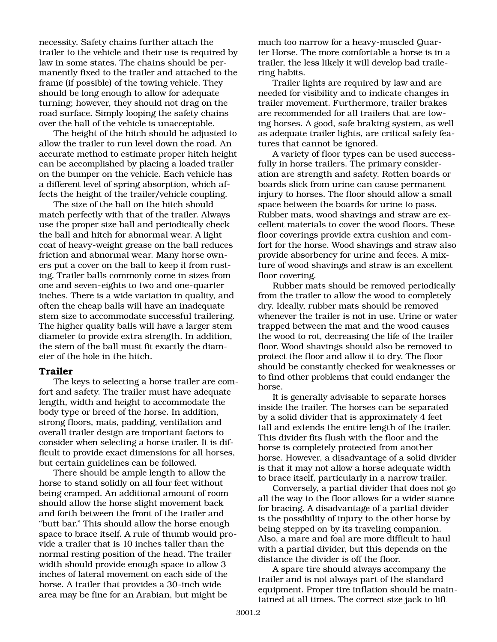necessity. Safety chains further attach the trailer to the vehicle and their use is required by law in some states. The chains should be permanently fixed to the trailer and attached to the frame (if possible) of the towing vehicle. They should be long enough to allow for adequate turning; however, they should not drag on the road surface. Simply looping the safety chains over the ball of the vehicle is unacceptable.

The height of the hitch should be adjusted to allow the trailer to run level down the road. An accurate method to estimate proper hitch height can be accomplished by placing a loaded trailer on the bumper on the vehicle. Each vehicle has a different level of spring absorption, which affects the height of the trailer/vehicle coupling.

The size of the ball on the hitch should match perfectly with that of the trailer. Always use the proper size ball and periodically check the ball and hitch for abnormal wear. A light coat of heavy-weight grease on the ball reduces friction and abnormal wear. Many horse owners put a cover on the ball to keep it from rusting. Trailer balls commonly come in sizes from one and seven-eights to two and one-quarter inches. There is a wide variation in quality, and often the cheap balls will have an inadequate stem size to accommodate successful trailering. The higher quality balls will have a larger stem diameter to provide extra strength. In addition, the stem of the ball must fit exactly the diameter of the hole in the hitch.

## **Trailer**

The keys to selecting a horse trailer are comfort and safety. The trailer must have adequate length, width and height to accommodate the body type or breed of the horse. In addition, strong floors, mats, padding, ventilation and overall trailer design are important factors to consider when selecting a horse trailer. It is difficult to provide exact dimensions for all horses, but certain guidelines can be followed.

There should be ample length to allow the horse to stand solidly on all four feet without being cramped. An additional amount of room should allow the horse slight movement back and forth between the front of the trailer and "butt bar." This should allow the horse enough space to brace itself. A rule of thumb would provide a trailer that is 10 inches taller than the normal resting position of the head. The trailer width should provide enough space to allow 3 inches of lateral movement on each side of the horse. A trailer that provides a 30-inch wide area may be fine for an Arabian, but might be

much too narrow for a heavy-muscled Quarter Horse. The more comfortable a horse is in a trailer, the less likely it will develop bad trailering habits.

Trailer lights are required by law and are needed for visibility and to indicate changes in trailer movement. Furthermore, trailer brakes are recommended for all trailers that are towing horses. A good, safe braking system, as well as adequate trailer lights, are critical safety features that cannot be ignored.

A variety of floor types can be used successfully in horse trailers. The primary consideration are strength and safety. Rotten boards or boards slick from urine can cause permanent injury to horses. The floor should allow a small space between the boards for urine to pass. Rubber mats, wood shavings and straw are excellent materials to cover the wood floors. These floor coverings provide extra cushion and comfort for the horse. Wood shavings and straw also provide absorbency for urine and feces. A mixture of wood shavings and straw is an excellent floor covering.

Rubber mats should be removed periodically from the trailer to allow the wood to completely dry. Ideally, rubber mats should be removed whenever the trailer is not in use. Urine or water trapped between the mat and the wood causes the wood to rot, decreasing the life of the trailer floor. Wood shavings should also be removed to protect the floor and allow it to dry. The floor should be constantly checked for weaknesses or to find other problems that could endanger the horse.

It is generally advisable to separate horses inside the trailer. The horses can be separated by a solid divider that is approximately 4 feet tall and extends the entire length of the trailer. This divider fits flush with the floor and the horse is completely protected from another horse. However, a disadvantage of a solid divider is that it may not allow a horse adequate width to brace itself, particularly in a narrow trailer.

Conversely, a partial divider that does not go all the way to the floor allows for a wider stance for bracing. A disadvantage of a partial divider is the possibility of injury to the other horse by being stepped on by its traveling companion. Also, a mare and foal are more difficult to haul with a partial divider, but this depends on the distance the divider is off the floor.

A spare tire should always accompany the trailer and is not always part of the standard equipment. Proper tire inflation should be maintained at all times. The correct size jack to lift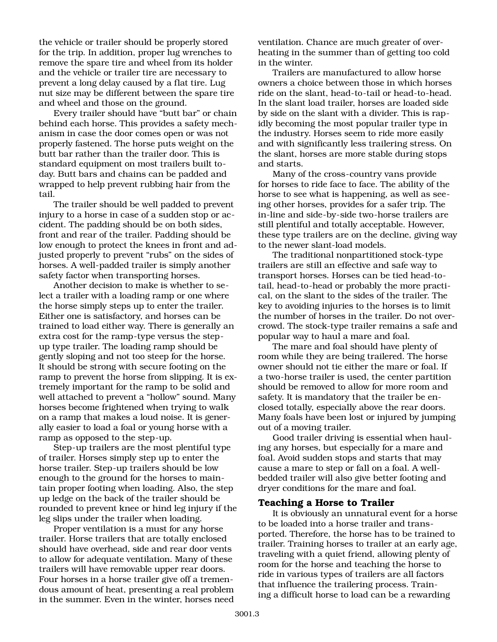the vehicle or trailer should be properly stored for the trip. In addition, proper lug wrenches to remove the spare tire and wheel from its holder and the vehicle or trailer tire are necessary to prevent a long delay caused by a flat tire. Lug nut size may be different between the spare tire and wheel and those on the ground.

Every trailer should have "butt bar" or chain behind each horse. This provides a safety mechanism in case the door comes open or was not properly fastened. The horse puts weight on the butt bar rather than the trailer door. This is standard equipment on most trailers built today. Butt bars and chains can be padded and wrapped to help prevent rubbing hair from the tail.

The trailer should be well padded to prevent injury to a horse in case of a sudden stop or accident. The padding should be on both sides, front and rear of the trailer. Padding should be low enough to protect the knees in front and adjusted properly to prevent "rubs" on the sides of horses. A well-padded trailer is simply another safety factor when transporting horses.

Another decision to make is whether to select a trailer with a loading ramp or one where the horse simply steps up to enter the trailer. Either one is satisfactory, and horses can be trained to load either way. There is generally an extra cost for the ramp-type versus the stepup type trailer. The loading ramp should be gently sloping and not too steep for the horse. It should be strong with secure footing on the ramp to prevent the horse from slipping. It is extremely important for the ramp to be solid and well attached to prevent a "hollow" sound. Many horses become frightened when trying to walk on a ramp that makes a loud noise. It is generally easier to load a foal or young horse with a ramp as opposed to the step-up.

Step-up trailers are the most plentiful type of trailer. Horses simply step up to enter the horse trailer. Step-up trailers should be low enough to the ground for the horses to maintain proper footing when loading. Also, the step up ledge on the back of the trailer should be rounded to prevent knee or hind leg injury if the leg slips under the trailer when loading.

Proper ventilation is a must for any horse trailer. Horse trailers that are totally enclosed should have overhead, side and rear door vents to allow for adequate ventilation. Many of these trailers will have removable upper rear doors. Four horses in a horse trailer give off a tremendous amount of heat, presenting a real problem in the summer. Even in the winter, horses need ventilation. Chance are much greater of overheating in the summer than of getting too cold in the winter.

Trailers are manufactured to allow horse owners a choice between those in which horses ride on the slant, head-to-tail or head-to-head. In the slant load trailer, horses are loaded side by side on the slant with a divider. This is rapidly becoming the most popular trailer type in the industry. Horses seem to ride more easily and with significantly less trailering stress. On the slant, horses are more stable during stops and starts.

Many of the cross-country vans provide for horses to ride face to face. The ability of the horse to see what is happening, as well as seeing other horses, provides for a safer trip. The in-line and side-by-side two-horse trailers are still plentiful and totally acceptable. However, these type trailers are on the decline, giving way to the newer slant-load models.

The traditional nonpartitioned stock-type trailers are still an effective and safe way to transport horses. Horses can be tied head-totail, head-to-head or probably the more practical, on the slant to the sides of the trailer. The key to avoiding injuries to the horses is to limit the number of horses in the trailer. Do not overcrowd. The stock-type trailer remains a safe and popular way to haul a mare and foal.

The mare and foal should have plenty of room while they are being trailered. The horse owner should not tie either the mare or foal. If a two-horse trailer is used, the center partition should be removed to allow for more room and safety. It is mandatory that the trailer be enclosed totally, especially above the rear doors. Many foals have been lost or injured by jumping out of a moving trailer.

Good trailer driving is essential when hauling any horses, but especially for a mare and foal. Avoid sudden stops and starts that may cause a mare to step or fall on a foal. A wellbedded trailer will also give better footing and dryer conditions for the mare and foal.

# **Teaching a Horse to Trailer**

It is obviously an unnatural event for a horse to be loaded into a horse trailer and transported. Therefore, the horse has to be trained to trailer. Training horses to trailer at an early age, traveling with a quiet friend, allowing plenty of room for the horse and teaching the horse to ride in various types of trailers are all factors that influence the trailering process. Training a difficult horse to load can be a rewarding